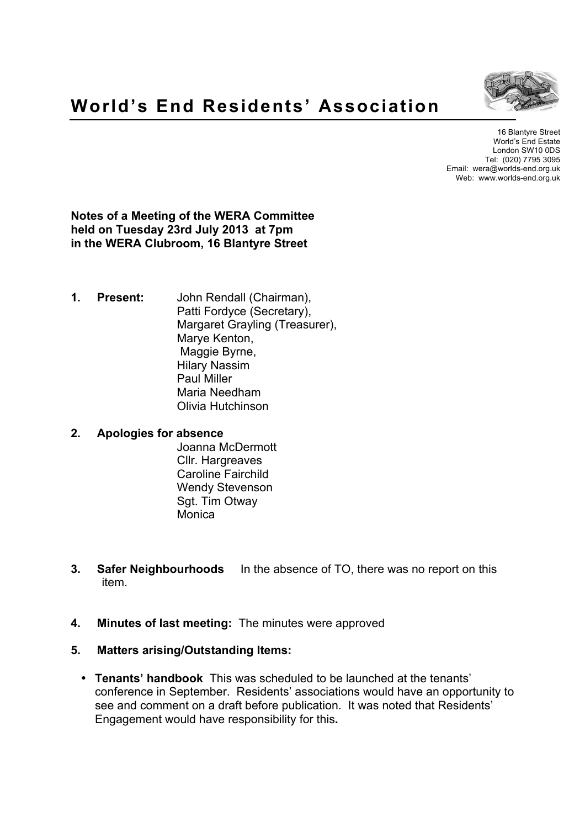

16 Blantyre Street World's End Estate London SW10 0DS Tel: (020) 7795 3095 Email: wera@worlds-end.org.uk Web: www.worlds-end.org.uk

**Notes of a Meeting of the WERA Committee held on Tuesday 23rd July 2013 at 7pm in the WERA Clubroom, 16 Blantyre Street**

**1. Present:** John Rendall (Chairman), Patti Fordyce (Secretary), Margaret Grayling (Treasurer), Marye Kenton, Maggie Byrne, Hilary Nassim Paul Miller Maria Needham Olivia Hutchinson

#### **2. Apologies for absence**

Joanna McDermott Cllr. Hargreaves Caroline Fairchild Wendy Stevenson Sgt. Tim Otway **Monica** 

- **3. Safer Neighbourhoods** In the absence of TO, there was no report on this item.
- **4. Minutes of last meeting:** The minutes were approved
- **5. Matters arising/Outstanding Items:**
	- **Tenants' handbook** This was scheduled to be launched at the tenants' conference in September. Residents' associations would have an opportunity to see and comment on a draft before publication. It was noted that Residents' Engagement would have responsibility for this**.**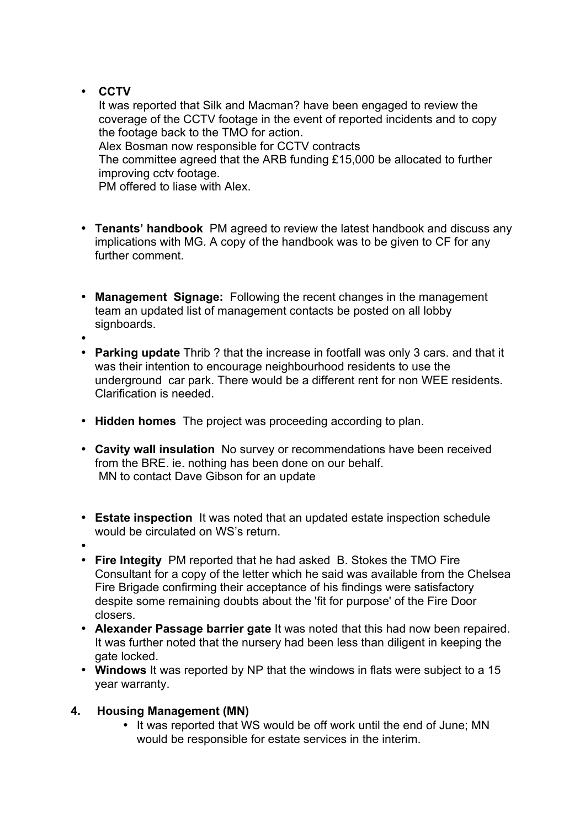# • **CCTV**

It was reported that Silk and Macman? have been engaged to review the coverage of the CCTV footage in the event of reported incidents and to copy the footage back to the TMO for action.

Alex Bosman now responsible for CCTV contracts

The committee agreed that the ARB funding £15,000 be allocated to further improving cctv footage.

PM offered to liase with Alex.

- **Tenants' handbook** PM agreed to review the latest handbook and discuss any implications with MG. A copy of the handbook was to be given to CF for any further comment.
- **Management Signage:** Following the recent changes in the management team an updated list of management contacts be posted on all lobby signboards.
- •
- **Parking update** Thrib ? that the increase in footfall was only 3 cars. and that it was their intention to encourage neighbourhood residents to use the underground car park. There would be a different rent for non WEE residents. Clarification is needed.
- **Hidden homes** The project was proceeding according to plan.
- **Cavity wall insulation** No survey or recommendations have been received from the BRE. ie. nothing has been done on our behalf. MN to contact Dave Gibson for an update
- **Estate inspection** It was noted that an updated estate inspection schedule would be circulated on WS's return.
- • **Fire Integity** PM reported that he had asked B. Stokes the TMO Fire Consultant for a copy of the letter which he said was available from the Chelsea Fire Brigade confirming their acceptance of his findings were satisfactory despite some remaining doubts about the 'fit for purpose' of the Fire Door closers.
- **Alexander Passage barrier gate** It was noted that this had now been repaired. It was further noted that the nursery had been less than diligent in keeping the gate locked.
- **Windows** It was reported by NP that the windows in flats were subject to a 15 year warranty.

### **4. Housing Management (MN)**

• It was reported that WS would be off work until the end of June; MN would be responsible for estate services in the interim.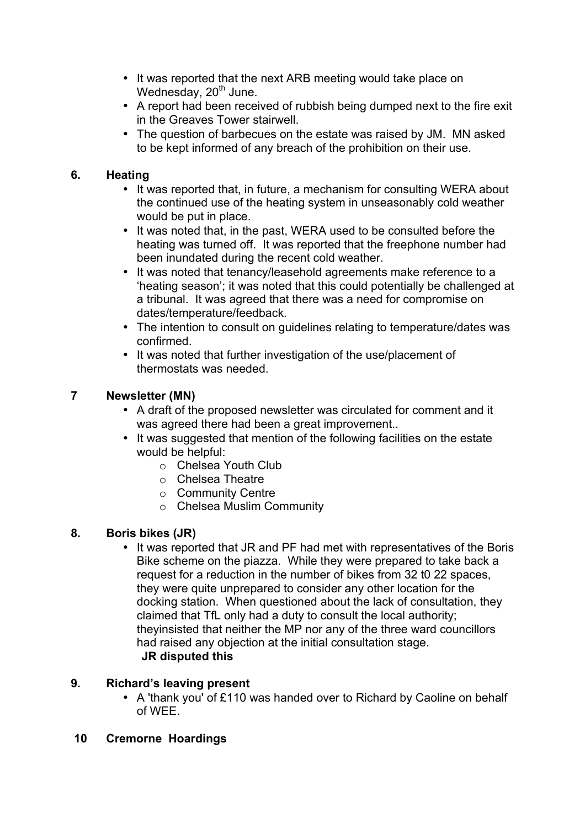- It was reported that the next ARB meeting would take place on Wednesday,  $20<sup>th</sup>$  June.
- A report had been received of rubbish being dumped next to the fire exit in the Greaves Tower stairwell.
- The question of barbecues on the estate was raised by JM. MN asked to be kept informed of any breach of the prohibition on their use.

### **6. Heating**

- It was reported that, in future, a mechanism for consulting WERA about the continued use of the heating system in unseasonably cold weather would be put in place.
- It was noted that, in the past, WERA used to be consulted before the heating was turned off. It was reported that the freephone number had been inundated during the recent cold weather.
- It was noted that tenancy/leasehold agreements make reference to a 'heating season'; it was noted that this could potentially be challenged at a tribunal. It was agreed that there was a need for compromise on dates/temperature/feedback.
- The intention to consult on guidelines relating to temperature/dates was confirmed.
- It was noted that further investigation of the use/placement of thermostats was needed.

# **7 Newsletter (MN)**

- A draft of the proposed newsletter was circulated for comment and it was agreed there had been a great improvement..
- It was suggested that mention of the following facilities on the estate would be helpful:
	- o Chelsea Youth Club
	- o Chelsea Theatre
	- o Community Centre
	- o Chelsea Muslim Community

# **8. Boris bikes (JR)**

• It was reported that JR and PF had met with representatives of the Boris Bike scheme on the piazza. While they were prepared to take back a request for a reduction in the number of bikes from 32 t0 22 spaces, they were quite unprepared to consider any other location for the docking station. When questioned about the lack of consultation, they claimed that TfL only had a duty to consult the local authority; theyinsisted that neither the MP nor any of the three ward councillors had raised any objection at the initial consultation stage. **JR disputed this**

# **9. Richard's leaving present**

- A 'thank you' of £110 was handed over to Richard by Caoline on behalf of WEE.
- **10 Cremorne Hoardings**